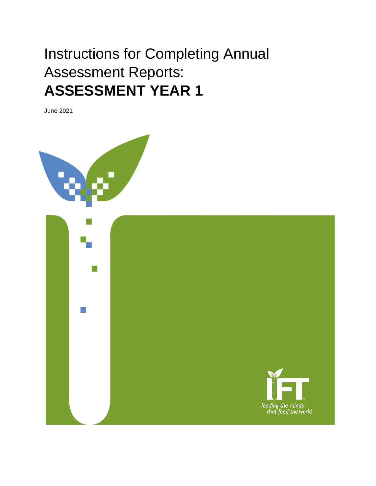# Instructions for Completing Annual Assessment Reports: **ASSESSMENT YEAR 1**

June 2021

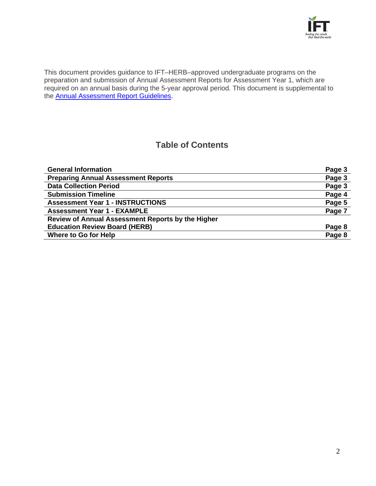

This document provides guidance to IFT–HERB–approved undergraduate programs on the preparation and submission of Annual Assessment Reports for Assessment Year 1, which are required on an annual basis during the 5-year approval period. This document is supplemental to the [Annual Assessment Report Guidelines.](https://www.ift.org/-/media/community/pdfs/educators-herb/2020_annual_assessment_report_guidelines.pdf)

## **Table of Contents**

| <b>General Information</b>                        | Page 3 |
|---------------------------------------------------|--------|
| <b>Preparing Annual Assessment Reports</b>        | Page 3 |
| <b>Data Collection Period</b>                     | Page 3 |
| <b>Submission Timeline</b>                        | Page 4 |
| <b>Assessment Year 1 - INSTRUCTIONS</b>           | Page 5 |
| <b>Assessment Year 1 - EXAMPLE</b>                | Page 7 |
| Review of Annual Assessment Reports by the Higher |        |
| <b>Education Review Board (HERB)</b>              | Page 8 |
| Where to Go for Help                              | Page 8 |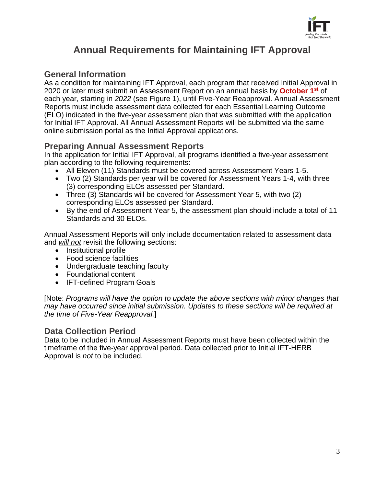

# **Annual Requirements for Maintaining IFT Approval**

### **General Information**

As a condition for maintaining IFT Approval, each program that received Initial Approval in 2020 or later must submit an Assessment Report on an annual basis by **October 1st** of each year, starting in *2022* (see Figure 1), until Five-Year Reapproval. Annual Assessment Reports must include assessment data collected for each Essential Learning Outcome (ELO) indicated in the five-year assessment plan that was submitted with the application for Initial IFT Approval. All Annual Assessment Reports will be submitted via the same online submission portal as the Initial Approval applications.

### **Preparing Annual Assessment Reports**

In the application for Initial IFT Approval, all programs identified a five-year assessment plan according to the following requirements:

- All Eleven (11) Standards must be covered across Assessment Years 1-5.
- Two (2) Standards per year will be covered for Assessment Years 1-4, with three (3) corresponding ELOs assessed per Standard.
- Three (3) Standards will be covered for Assessment Year 5, with two (2) corresponding ELOs assessed per Standard.
- By the end of Assessment Year 5, the assessment plan should include a total of 11 Standards and 30 ELOs.

Annual Assessment Reports will only include documentation related to assessment data and *will not* revisit the following sections:

- Institutional profile
- Food science facilities
- Undergraduate teaching faculty
- Foundational content
- IFT-defined Program Goals

[Note: *Programs will have the option to update the above sections with minor changes that may have occurred since initial submission. Updates to these sections will be required at the time of Five-Year Reapproval.*]

#### **Data Collection Period**

Data to be included in Annual Assessment Reports must have been collected within the timeframe of the five-year approval period. Data collected prior to Initial IFT-HERB Approval is *not* to be included.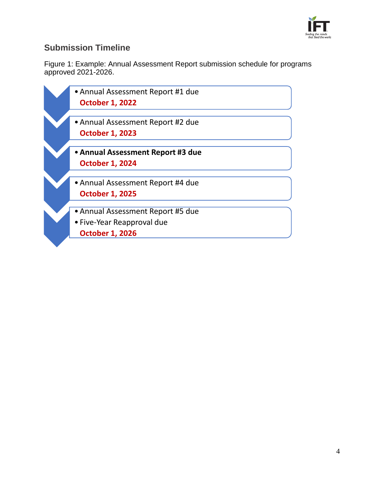

## **Submission Timeline**

Figure 1: Example: Annual Assessment Report submission schedule for programs approved 2021-2026.

| • Annual Assessment Report #1 due |  |
|-----------------------------------|--|
| <b>October 1, 2022</b>            |  |
|                                   |  |
| • Annual Assessment Report #2 due |  |
| <b>October 1, 2023</b>            |  |
|                                   |  |
| • Annual Assessment Report #3 due |  |
| <b>October 1, 2024</b>            |  |
|                                   |  |
| • Annual Assessment Report #4 due |  |
| <b>October 1, 2025</b>            |  |
|                                   |  |
| • Annual Assessment Report #5 due |  |
| • Five-Year Reapproval due        |  |
| <b>October 1, 2026</b>            |  |
|                                   |  |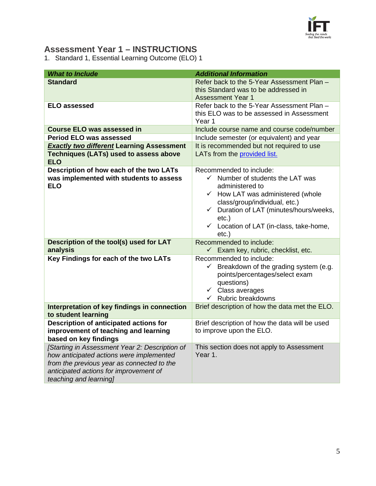

## **Assessment Year 1 – INSTRUCTIONS**

1. Standard 1, Essential Learning Outcome (ELO) 1

| <b>What to Include</b>                                                                                                                                                                                       | <b>Additional Information</b>                                                                                                                                                                                                                                                                                        |
|--------------------------------------------------------------------------------------------------------------------------------------------------------------------------------------------------------------|----------------------------------------------------------------------------------------------------------------------------------------------------------------------------------------------------------------------------------------------------------------------------------------------------------------------|
| <b>Standard</b>                                                                                                                                                                                              | Refer back to the 5-Year Assessment Plan -<br>this Standard was to be addressed in<br><b>Assessment Year 1</b>                                                                                                                                                                                                       |
| <b>ELO assessed</b>                                                                                                                                                                                          | Refer back to the 5-Year Assessment Plan -<br>this ELO was to be assessed in Assessment<br>Year 1                                                                                                                                                                                                                    |
| <b>Course ELO was assessed in</b>                                                                                                                                                                            | Include course name and course code/number                                                                                                                                                                                                                                                                           |
| <b>Period ELO was assessed</b>                                                                                                                                                                               | Include semester (or equivalent) and year                                                                                                                                                                                                                                                                            |
| <b>Exactly two different Learning Assessment</b><br><b>Techniques (LATs) used to assess above</b><br><b>ELO</b>                                                                                              | It is recommended but not required to use<br>LATs from the provided list.                                                                                                                                                                                                                                            |
| Description of how each of the two LATs<br>was implemented with students to assess<br><b>ELO</b>                                                                                                             | Recommended to include:<br>Number of students the LAT was<br>$\checkmark$<br>administered to<br>$\checkmark$ How LAT was administered (whole<br>class/group/individual, etc.)<br>Duration of LAT (minutes/hours/weeks,<br>$\checkmark$<br>$etc.$ )<br>$\checkmark$ Location of LAT (in-class, take-home,<br>$etc.$ ) |
| Description of the tool(s) used for LAT<br>analysis                                                                                                                                                          | Recommended to include:<br>Exam key, rubric, checklist, etc.                                                                                                                                                                                                                                                         |
| Key Findings for each of the two LATs                                                                                                                                                                        | Recommended to include:<br>Breakdown of the grading system (e.g.<br>$\checkmark$<br>points/percentages/select exam<br>questions)<br>$\checkmark$ Class averages<br>Rubric breakdowns<br>$\checkmark$                                                                                                                 |
| Interpretation of key findings in connection<br>to student learning                                                                                                                                          | Brief description of how the data met the ELO.                                                                                                                                                                                                                                                                       |
| Description of anticipated actions for<br>improvement of teaching and learning<br>based on key findings                                                                                                      | Brief description of how the data will be used<br>to improve upon the ELO.                                                                                                                                                                                                                                           |
| [Starting in Assessment Year 2: Description of<br>how anticipated actions were implemented<br>from the previous year as connected to the<br>anticipated actions for improvement of<br>teaching and learning] | This section does not apply to Assessment<br>Year 1.                                                                                                                                                                                                                                                                 |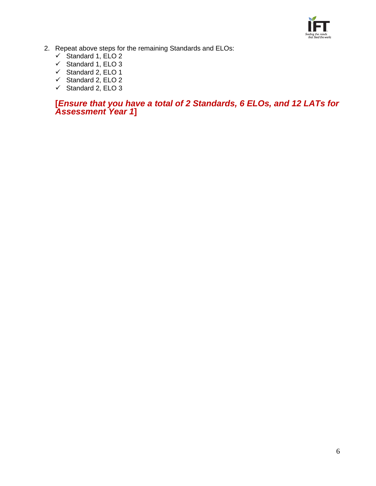

- 2. Repeat above steps for the remaining Standards and ELOs:
	- $\checkmark$  Standard 1, ELO 2
	- $\checkmark$  Standard 1, ELO 3
	- $\checkmark$  Standard 2, ELO 1
	- $\checkmark$  Standard 2, ELO 2
	- $\checkmark$  Standard 2, ELO 3

#### **[***Ensure that you have a total of 2 Standards, 6 ELOs, and 12 LATs for Assessment Year 1***]**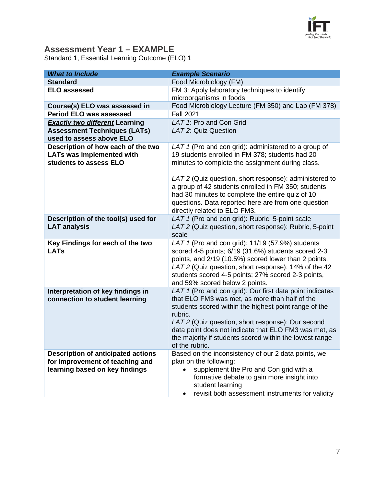

## **Assessment Year 1 – EXAMPLE**

Standard 1, Essential Learning Outcome (ELO) 1

| <b>What to Include</b>                                                                                         | <b>Example Scenario</b>                                                                                                                                                                                                                                                                                                                                                   |
|----------------------------------------------------------------------------------------------------------------|---------------------------------------------------------------------------------------------------------------------------------------------------------------------------------------------------------------------------------------------------------------------------------------------------------------------------------------------------------------------------|
| <b>Standard</b>                                                                                                | Food Microbiology (FM)                                                                                                                                                                                                                                                                                                                                                    |
| <b>ELO assessed</b>                                                                                            | FM 3: Apply laboratory techniques to identify<br>microorganisms in foods                                                                                                                                                                                                                                                                                                  |
| Course(s) ELO was assessed in                                                                                  | Food Microbiology Lecture (FM 350) and Lab (FM 378)                                                                                                                                                                                                                                                                                                                       |
| <b>Period ELO was assessed</b>                                                                                 | <b>Fall 2021</b>                                                                                                                                                                                                                                                                                                                                                          |
| <b>Exactly two different Learning</b>                                                                          | LAT 1: Pro and Con Grid                                                                                                                                                                                                                                                                                                                                                   |
| <b>Assessment Techniques (LATs)</b>                                                                            | LAT 2: Quiz Question                                                                                                                                                                                                                                                                                                                                                      |
| used to assess above ELO                                                                                       |                                                                                                                                                                                                                                                                                                                                                                           |
| Description of how each of the two<br><b>LATs was implemented with</b><br>students to assess ELO               | LAT 1 (Pro and con grid): administered to a group of<br>19 students enrolled in FM 378; students had 20<br>minutes to complete the assignment during class.<br>LAT 2 (Quiz question, short response): administered to<br>a group of 42 students enrolled in FM 350; students<br>had 30 minutes to complete the entire quiz of 10                                          |
|                                                                                                                | questions. Data reported here are from one question<br>directly related to ELO FM3.                                                                                                                                                                                                                                                                                       |
| Description of the tool(s) used for<br><b>LAT analysis</b>                                                     | LAT 1 (Pro and con grid): Rubric, 5-point scale<br>LAT 2 (Quiz question, short response): Rubric, 5-point<br>scale                                                                                                                                                                                                                                                        |
| Key Findings for each of the two<br><b>LATs</b>                                                                | LAT 1 (Pro and con grid): 11/19 (57.9%) students<br>scored 4-5 points; 6/19 (31.6%) students scored 2-3<br>points, and 2/19 (10.5%) scored lower than 2 points.<br>LAT 2 (Quiz question, short response): 14% of the 42<br>students scored 4-5 points; 27% scored 2-3 points,<br>and 59% scored below 2 points.                                                           |
| Interpretation of key findings in<br>connection to student learning                                            | LAT 1 (Pro and con grid): Our first data point indicates<br>that ELO FM3 was met, as more than half of the<br>students scored within the highest point range of the<br>rubric.<br>LAT 2 (Quiz question, short response): Our second<br>data point does not indicate that ELO FM3 was met, as<br>the majority if students scored within the lowest range<br>of the rubric. |
| <b>Description of anticipated actions</b><br>for improvement of teaching and<br>learning based on key findings | Based on the inconsistency of our 2 data points, we<br>plan on the following:<br>supplement the Pro and Con grid with a<br>formative debate to gain more insight into<br>student learning<br>revisit both assessment instruments for validity<br>٠                                                                                                                        |